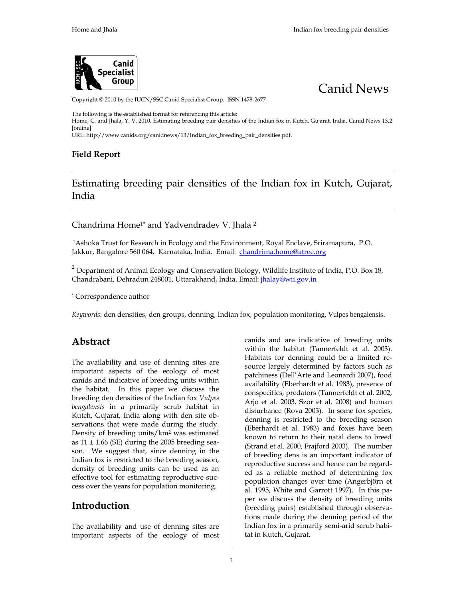# Canid News

#### Copyright 1 to 20the IUCN/SSC Canid Specialist 267 dup. ISSN 1478

The following is the established format for referencing this article: Home, aOnd hala, Y. OI OVE stimating breeding pair densities of the a had jalm Chianxid n NK Unal 26. A. Guj [online]  $URL: http://www.canids.org%4$  and dannews  $x_b$  breeding papid folensities

Field Report

## Esimating breeding pair densities of the Indian fox in India

Chandrima Homo tadvendra dev hala

1Ashoka Trust for Research in Ecology, Raomydath Ene EShawine expendent (a.C. Jakk, Brangalore 5,60K @ for 4 at a kda & main independence @atree.org

 $^2$  Department of EA onoihroagly and Conserva,tWhcihd Bifoelology titute Po.OD-Blonxdi1a.8 , Chandrab Damin adun 2,4080 @ndkh, am dia Emailalay@wii.gov.in

\*Correspondence author

Keyworddesn den sidteiens grosudpenning gian focoxopulation mmognMutlpersibengalensis.

| Abstract                                                  | canidasnd are indicative of breeding units                                                                                                                                                                                                                                                                                            |
|-----------------------------------------------------------|---------------------------------------------------------------------------------------------------------------------------------------------------------------------------------------------------------------------------------------------------------------------------------------------------------------------------------------|
|                                                           | within the habitat (Taman @ Of@ 3 old et<br>Habitats for denning could ebe a limited<br>The availability and use of depning sites afgely determineed shuych aas<br>important aspects of the ecology $\tilde{\rho}$ of most (Dell Arte and Leonardi 2007),<br>canidand indicative of breeding units within y (Ebeahla9&3)etpresence of |
|                                                           | the habithat this paper we discuss the ecifics, predators all an algorithment at<br>breeding den densities of Vth pelsidian fox 2003, Szar2008) and human<br>bengaleimsia primarily scrub habitat in interference (Rovaln2GO of hex species,                                                                                          |
| as $\pm$ 11.66 (SE) duri <b>05</b> bhee $\alpha$ doa-g se | KutchGujarat, allnochiga with deb-site $\overline{\rho}$ anning is restricted diongthseed bane ne<br>servations that were made during the study a1983) andesave been<br>Density ofdibgeenits <sup>2</sup> /wans estimated and to return to their natal dens to br                                                                     |
| son. We suggest that, since depning                       | (Straetda21000, FrajfordTh2e00m3ob)e.r<br>breeding dens is an important indicato<br>Indian fox is restricted to the breeding seasons is restricted to the breeding and the seasons is restricted to the breeding of the seasons is restricted to the breeding units can be used as radiable for model the ordinati                    |
| Introducent                                               | cess over the years for porprugation $\tilde{n}$ $\tilde{n}$ $\tilde{g}$ $\tilde{g}$ $\tilde{g}$ white and Garlmotth ilaso $\varphi$ 7).<br>per wescolis the density of breeding units                                                                                                                                                |
| important aspects of the ecologyatoin Kuteh, Gujarat.     | (breeding pairs) establisheda-through obse<br>tions made dhueindopntning period of the<br>The availability and use of dennihngdisanteើnomeriom arilarisodensicrub hab                                                                                                                                                                 |
|                                                           |                                                                                                                                                                                                                                                                                                                                       |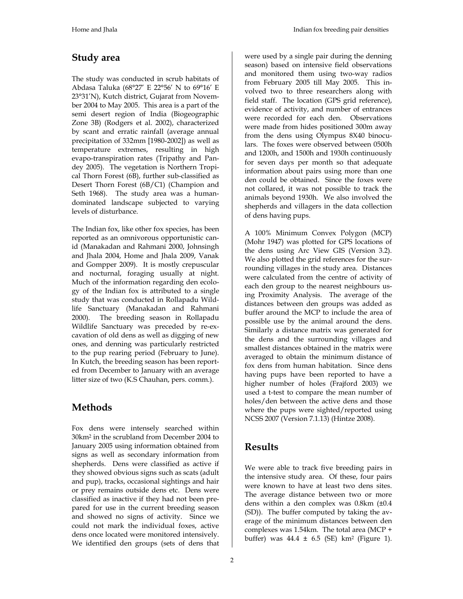#### **Study area**

The study was conducted in scrub habitats of Abdasa Taluka (68°27' E 22°56' N to 69°16' E 23°31'N), Kutch district, Gujarat from November 2004 to May 2005. This area is a part of the semi desert region of India (Biogeographic Zone 3B) (Rodgers et al. 2002), characterized by scant and erratic rainfall (average annual precipitation of 332mm [1980-2002]) as well as temperature extremes, resulting in high evapo-transpiration rates (Tripathy and Pandey 2005). The vegetation is Northern Tropical Thorn Forest (6B), further sub-classified as Desert Thorn Forest (6B/C1) (Champion and Seth 1968). The study area was a humandominated landscape subjected to varying levels of disturbance.

The Indian fox, like other fox species, has been reported as an omnivorous opportunistic canid (Manakadan and Rahmani 2000, Johnsingh and Jhala 2004, Home and Jhala 2009, Vanak and Gompper 2009). It is mostly crepuscular and nocturnal, foraging usually at night. Much of the information regarding den ecology of the Indian fox is attributed to a single study that was conducted in Rollapadu Wildlife Sanctuary (Manakadan and Rahmani 2000). The breeding season in Rollapadu Wildlife Sanctuary was preceded by re-excavation of old dens as well as digging of new ones, and denning was particularly restricted to the pup rearing period (February to June). In Kutch, the breeding season has been reported from December to January with an average litter size of two (K.S Chauhan, pers. comm.).

### **Methods**

Fox dens were intensely searched within 30km<sup>2</sup> in the scrubland from December 2004 to January 2005 using information obtained from signs as well as secondary information from shepherds. Dens were classified as active if they showed obvious signs such as scats (adult and pup), tracks, occasional sightings and hair or prey remains outside dens etc. Dens were classified as inactive if they had not been prepared for use in the current breeding season and showed no signs of activity. Since we could not mark the individual foxes, active dens once located were monitored intensively. We identified den groups (sets of dens that

were used by a single pair during the denning season) based on intensive field observations and monitored them using two-way radios from February 2005 till May 2005. This involved two to three researchers along with field staff. The location (GPS grid reference), evidence of activity, and number of entrances were recorded for each den. Observations were made from hides positioned 300m away from the dens using Olympus 8X40 binoculars. The foxes were observed between 0500h and 1200h, and 1500h and 1930h continuously for seven days per month so that adequate information about pairs using more than one den could be obtained. Since the foxes were not collared, it was not possible to track the animals beyond 1930h. We also involved the shepherds and villagers in the data collection of dens having pups.

A 100% Minimum Convex Polygon (MCP) (Mohr 1947) was plotted for GPS locations of the dens using Arc View GIS (Version 3.2). We also plotted the grid references for the surrounding villages in the study area. Distances were calculated from the centre of activity of each den group to the nearest neighbours using Proximity Analysis. The average of the distances between den groups was added as buffer around the MCP to include the area of possible use by the animal around the dens. Similarly a distance matrix was generated for the dens and the surrounding villages and smallest distances obtained in the matrix were averaged to obtain the minimum distance of fox dens from human habitation. Since dens having pups have been reported to have a higher number of holes (Frajford 2003) we used a t-test to compare the mean number of holes/den between the active dens and those where the pups were sighted/reported using NCSS 2007 (Version 7.1.13) (Hintze 2008).

#### **Results**

We were able to track five breeding pairs in the intensive study area. Of these, four pairs were known to have at least two dens sites. The average distance between two or more dens within a den complex was 0.8km (±0.4 (SD)). The buffer computed by taking the average of the minimum distances between den complexes was 1.54km. The total area (MCP + buffer) was 44.4 ± 6.5 (SE) km<sup>2</sup> (Figure 1).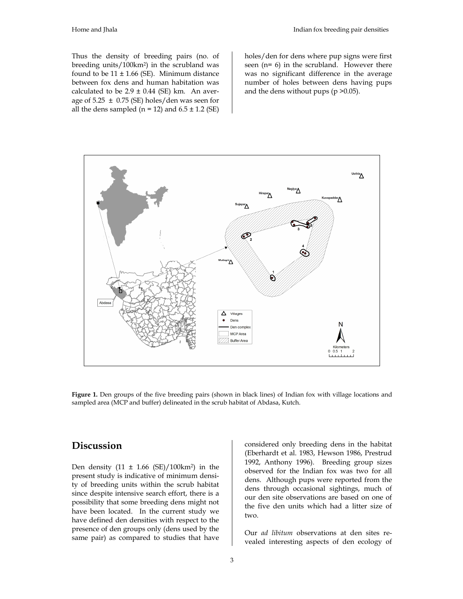Thus the density of breeding pairs (no. of breeding units/100km<sup>2</sup> ) in the scrubland was found to be  $11 \pm 1.66$  (SE). Minimum distance between fox dens and human habitation was calculated to be  $2.9 \pm 0.44$  (SE) km. An average of 5.25  $\pm$  0.75 (SE) holes/den was seen for all the dens sampled ( $n = 12$ ) and  $6.5 \pm 1.2$  (SE)

holes/den for dens where pup signs were first seen (n= 6) in the scrubland. However there was no significant difference in the average number of holes between dens having pups and the dens without pups  $(p > 0.05)$ .



**Figure 1.** Den groups of the five breeding pairs (shown in black lines) of Indian fox with village locations and sampled area (MCP and buffer) delineated in the scrub habitat of Abdasa, Kutch.

#### **Discussion**

Den density  $(11 \pm 1.66 \text{ (SE)})/100 \text{ km}^2$  in the present study is indicative of minimum density of breeding units within the scrub habitat since despite intensive search effort, there is a possibility that some breeding dens might not have been located. In the current study we have defined den densities with respect to the presence of den groups only (dens used by the same pair) as compared to studies that have

considered only breeding dens in the habitat (Eberhardt et al. 1983, Hewson 1986, Prestrud 1992, Anthony 1996). Breeding group sizes observed for the Indian fox was two for all dens. Although pups were reported from the dens through occasional sightings, much of our den site observations are based on one of the five den units which had a litter size of two.

Our *ad libitum* observations at den sites revealed interesting aspects of den ecology of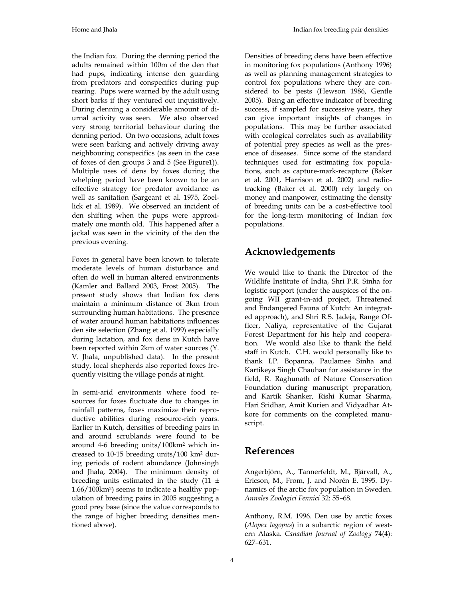the Indian fox. During the denning period the adults remained within 100m of the den that had pups, indicating intense den guarding from predators and conspecifics during pup rearing. Pups were warned by the adult using short barks if they ventured out inquisitively. During denning a considerable amount of diurnal activity was seen. We also observed very strong territorial behaviour during the denning period. On two occasions, adult foxes were seen barking and actively driving away neighbouring conspecifics (as seen in the case of foxes of den groups 3 and 5 (See Figure1)). Multiple uses of dens by foxes during the whelping period have been known to be an effective strategy for predator avoidance as well as sanitation (Sargeant et al. 1975, Zoellick et al. 1989). We observed an incident of den shifting when the pups were approximately one month old. This happened after a jackal was seen in the vicinity of the den the previous evening.

Foxes in general have been known to tolerate moderate levels of human disturbance and often do well in human altered environments (Kamler and Ballard 2003, Frost 2005). The present study shows that Indian fox dens maintain a minimum distance of 3km from surrounding human habitations. The presence of water around human habitations influences den site selection (Zhang et al. 1999) especially during lactation, and fox dens in Kutch have been reported within 2km of water sources (Y. V. Jhala, unpublished data). In the present study, local shepherds also reported foxes frequently visiting the village ponds at night.

In semi-arid environments where food resources for foxes fluctuate due to changes in rainfall patterns, foxes maximize their reproductive abilities during resource-rich years. Earlier in Kutch, densities of breeding pairs in and around scrublands were found to be around 4-6 breeding units/100km<sup>2</sup> which increased to 10-15 breeding units/100 km<sup>2</sup> during periods of rodent abundance (Johnsingh and Jhala, 2004). The minimum density of breeding units estimated in the study  $(11 \pm$ 1.66/100km<sup>2</sup> ) seems to indicate a healthy population of breeding pairs in 2005 suggesting a good prey base (since the value corresponds to the range of higher breeding densities mentioned above).

Densities of breeding dens have been effective in monitoring fox populations (Anthony 1996) as well as planning management strategies to control fox populations where they are considered to be pests (Hewson 1986, Gentle 2005). Being an effective indicator of breeding success, if sampled for successive years, they can give important insights of changes in populations. This may be further associated with ecological correlates such as availability of potential prey species as well as the presence of diseases. Since some of the standard techniques used for estimating fox populations, such as capture-mark-recapture (Baker et al. 2001, Harrison et al. 2002) and radiotracking (Baker et al. 2000) rely largely on money and manpower, estimating the density of breeding units can be a cost-effective tool for the long-term monitoring of Indian fox populations.

### **Acknowledgements**

We would like to thank the Director of the Wildlife Institute of India, Shri P.R. Sinha for logistic support (under the auspices of the ongoing WII grant-in-aid project, Threatened and Endangered Fauna of Kutch: An integrated approach), and Shri R.S. Jadeja, Range Officer, Naliya, representative of the Gujarat Forest Department for his help and cooperation. We would also like to thank the field staff in Kutch. C.H. would personally like to thank I.P. Bopanna, Paulamee Sinha and Kartikeya Singh Chauhan for assistance in the field, R. Raghunath of Nature Conservation Foundation during manuscript preparation, and Kartik Shanker, Rishi Kumar Sharma, Hari Sridhar, Amit Kurien and Vidyadhar Atkore for comments on the completed manuscript.

### **References**

Angerbjörn, A., Tannerfeldt, M., Bjärvall, A., Ericson, M., From, J. and Norén E. 1995. Dynamics of the arctic fox population in Sweden. *Annales Zoologici Fennici* 32: 55–68.

Anthony, R.M. 1996. Den use by arctic foxes (*Alopex lagopus*) in a subarctic region of western Alaska. *Canadian Journal of Zoology* 74(4): 627–631.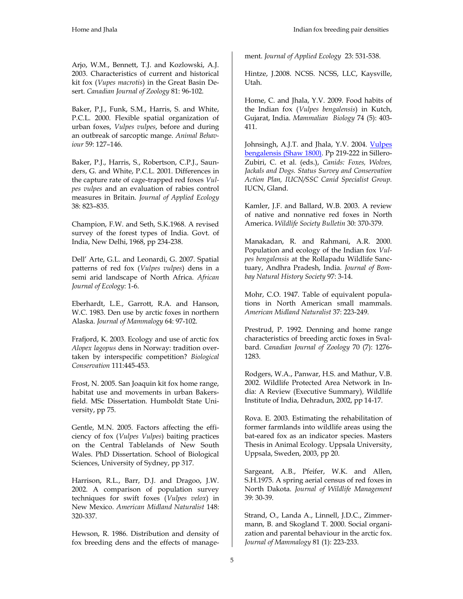Arjo, W.M., Bennett, T.J. and Kozlowski, A.J. 2003. Characteristics of current and historical kit fox (*Vupes macrotis*) in the Great Basin Desert. *Canadian Journal of Zoology* 81: 96-102.

Baker, P.J., Funk, S.M., Harris, S. and White, P.C.L. 2000. Flexible spatial organization of urban foxes, *Vulpes vulpes*, before and during an outbreak of sarcoptic mange. *Animal Behaviour* 59: 127–146.

Baker, P.J., Harris, S., Robertson, C.P.J., Saunders, G. and White, P.C.L. 2001. Differences in the capture rate of cage-trapped red foxes *Vulpes vulpes* and an evaluation of rabies control measures in Britain. *Journal of Applied Ecology* 38: 823–835.

Champion, F.W. and Seth, S.K.1968. A revised survey of the forest types of India. Govt. of India, New Delhi, 1968, pp 234-238.

Dell' Arte, G.L. and Leonardi, G. 2007. Spatial patterns of red fox (*Vulpes vulpes*) dens in a semi arid landscape of North Africa. *African Journal of Ecology*: 1-6.

Eberhardt, L.E., Garrott, R.A. and Hanson, W.C. 1983. Den use by arctic foxes in northern Alaska. *Journal of Mammalogy* 64: 97-102.

Frafjord, K. 2003. Ecology and use of arctic fox *Alopex lagopus* dens in Norway: tradition overtaken by interspecific competition? *Biological Conservation* 111:445-453.

Frost, N. 2005. San Joaquin kit fox home range, habitat use and movements in urban Bakersfield. MSc Dissertation. Humboldt State University, pp 75.

Gentle, M.N. 2005. Factors affecting the efficiency of fox (*Vulpes Vulpes*) baiting practices on the Central Tablelands of New South Wales. PhD Dissertation. School of Biological Sciences, University of Sydney, pp 317.

Harrison, R.L., Barr, D.J. and Dragoo, J.W. 2002. A comparison of population survey techniques for swift foxes (*Vulpes velox*) in New Mexico. *American Midland Naturalist* 148: 320-337.

Hewson, R. 1986. Distribution and density of fox breeding dens and the effects of management. *Journal of Applied Ecology* 23: 531-538.

Hintze, J.2008. NCSS. NCSS, LLC, Kaysville, Utah.

Home, C. and Jhala, Y.V. 2009. Food habits of the Indian fox (*Vulpes bengalensis*) in Kutch, Gujarat, India. *Mammalian Biology* 74 (5): 403- 411.

Johnsingh, A.J.T. and Jhala, Y.V. 2004. Vulpes bengalensis (Shaw 1800). Pp 219-222 in Sillero-Zubiri, C. et al. (eds.), *Canids: Foxes, Wolves, Jackals and Dogs. Status Survey and Conservation Action Plan, IUCN/SSC Canid Specialist Group.* IUCN, Gland.

Kamler, J.F. and Ballard, W.B. 2003. A review of native and nonnative red foxes in North America. *Wildlife Society Bulletin* 30: 370-379.

Manakadan, R. and Rahmani, A.R. 2000. Population and ecology of the Indian fox *Vulpes bengalensis* at the Rollapadu Wildlife Sanctuary, Andhra Pradesh, India. *Journal of Bombay Natural History Society* 97: 3-14.

Mohr, C.O. 1947. Table of equivalent populations in North American small mammals. *American Midland Naturalist* 37: 223-249.

Prestrud, P. 1992. Denning and home range characteristics of breeding arctic foxes in Svalbard. *Canadian Journal of Zoology* 70 (7): 1276- 1283.

Rodgers, W.A., Panwar, H.S. and Mathur, V.B. 2002. Wildlife Protected Area Network in India: A Review (Executive Summary)*,* Wildlife Institute of India, Dehradun, 2002, pp 14-17.

Rova. E. 2003. Estimating the rehabilitation of former farmlands into wildlife areas using the bat-eared fox as an indicator species. Masters Thesis in Animal Ecology. Uppsala University, Uppsala, Sweden, 2003, pp 20.

Sargeant, A.B., Pfeifer, W.K. and Allen, S.H.1975. A spring aerial census of red foxes in North Dakota. *Journal of Wildlife Management* 39: 30-39.

Strand, O., Landa A., Linnell, J.D.C., Zimmermann, B. and Skogland T. 2000. Social organization and parental behaviour in the arctic fox. *Journal of Mammalogy* 81 (1): 223-233.